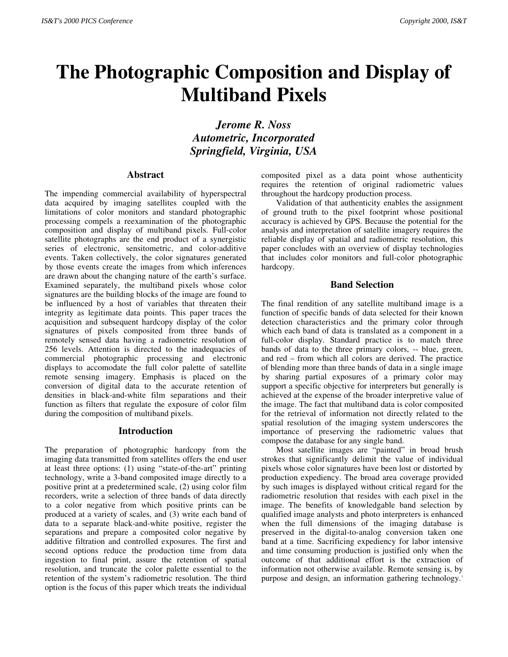# **The Photographic Composition and Display of Multiband Pixels**

*Jerome R. Noss Autometric, Incorporated Springfield, Virginia, USA*

#### **Abstract**

The impending commercial availability of hyperspectral data acquired by imaging satellites coupled with the limitations of color monitors and standard photographic processing compels a reexamination of the photographic composition and display of multiband pixels. Full-color satellite photographs are the end product of a synergistic series of electronic, sensitometric, and color-additive events. Taken collectively, the color signatures generated by those events create the images from which inferences are drawn about the changing nature of the earth's surface. Examined separately, the multiband pixels whose color signatures are the building blocks of the image are found to be influenced by a host of variables that threaten their integrity as legitimate data points. This paper traces the acquisition and subsequent hardcopy display of the color signatures of pixels composited from three bands of remotely sensed data having a radiometric resolution of 256 levels. Attention is directed to the inadequacies of commercial photographic processing and electronic displays to accomodate the full color palette of satellite remote sensing imagery. Emphasis is placed on the conversion of digital data to the accurate retention of densities in black-and-white film separations and their function as filters that regulate the exposure of color film during the composition of multiband pixels.

#### **Introduction**

The preparation of photographic hardcopy from the imaging data transmitted from satellites offers the end user at least three options: (1) using "state-of-the-art" printing technology, write a 3-band composited image directly to a positive print at a predetermined scale, (2) using color film recorders, write a selection of three bands of data directly to a color negative from which positive prints can be produced at a variety of scales, and (3) write each band of data to a separate black-and-white positive, register the separations and prepare a composited color negative by additive filtration and controlled exposures. The first and second options reduce the production time from data ingestion to final print, assure the retention of spatial resolution, and truncate the color palette essential to the retention of the system's radiometric resolution. The third option is the focus of this paper which treats the individual

composited pixel as a data point whose authenticity requires the retention of original radiometric values throughout the hardcopy production process.

Validation of that authenticity enables the assignment of ground truth to the pixel footprint whose positional accuracy is achieved by GPS. Because the potential for the analysis and interpretation of satellite imagery requires the reliable display of spatial and radiometric resolution, this paper concludes with an overview of display technologies that includes color monitors and full-color photographic hardcopy.

### **Band Selection**

The final rendition of any satellite multiband image is a function of specific bands of data selected for their known detection characteristics and the primary color through which each band of data is translated as a component in a full-color display. Standard practice is to match three bands of data to the three primary colors, -- blue, green, and red – from which all colors are derived. The practice of blending more than three bands of data in a single image by sharing partial exposures of a primary color may support a specific objective for interpreters but generally is achieved at the expense of the broader interpretive value of the image. The fact that multiband data is color composited for the retrieval of information not directly related to the spatial resolution of the imaging system underscores the importance of preserving the radiometric values that compose the database for any single band.

Most satellite images are "painted" in broad brush strokes that significantly delimit the value of individual pixels whose color signatures have been lost or distorted by production expediency. The broad area coverage provided by such images is displayed without critical regard for the radiometric resolution that resides with each pixel in the image. The benefits of knowledgable band selection by qualified image analysts and photo interpreters is enhanced when the full dimensions of the imaging database is preserved in the digital-to-analog conversion taken one band at a time. Sacrificing expediency for labor intensive and time consuming production is justified only when the outcome of that additional effort is the extraction of information not otherwise available. Remote sensing is, by purpose and design, an information gathering technology.<sup>1</sup>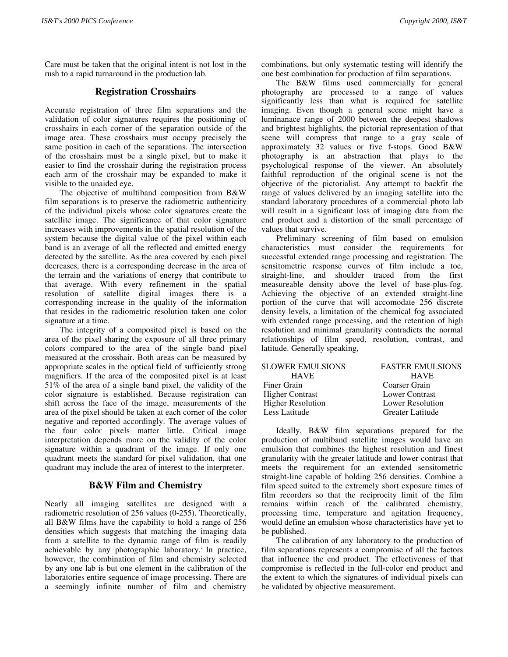Care must be taken that the original intent is not lost in the rush to a rapid turnaround in the production lab.

# **Registration Crosshairs**

Accurate registration of three film separations and the validation of color signatures requires the positioning of crosshairs in each corner of the separation outside of the image area. These crosshairs must occupy precisely the same position in each of the separations. The intersection of the crosshairs must be a single pixel, but to make it easier to find the crosshair during the registration process each arm of the crosshair may be expanded to make it visible to the unaided eye.

The objective of multiband composition from B&W film separations is to preserve the radiometric authenticity of the individual pixels whose color signatures create the satellite image. The significance of that color signature increases with improvements in the spatial resolution of the system because the digital value of the pixel within each band is an average of all the reflected and emitted energy detected by the satellite. As the area covered by each pixel decreases, there is a corresponding decrease in the area of the terrain and the variations of energy that contribute to that average. With every refinement in the spatial resolution of satellite digital images there is a corresponding increase in the quality of the information that resides in the radiometric resolution taken one color signature at a time.

The integrity of a composited pixel is based on the area of the pixel sharing the exposure of all three primary colors compared to the area of the single band pixel measured at the crosshair. Both areas can be measured by appropriate scales in the optical field of sufficiently strong magnifiers. If the area of the composited pixel is at least 51% of the area of a single band pixel, the validity of the color signature is established. Because registration can shift across the face of the image, measurements of the area of the pixel should be taken at each corner of the color negative and reported accordingly. The average values of the four color pixels matter little. Critical image interpretation depends more on the validity of the color signature within a quadrant of the image. If only one quadrant meets the standard for pixel validation, that one quadrant may include the area of interest to the interpreter.

# **B&W Film and Chemistry**

Nearly all imaging satellites are designed with a radiometric resolution of 256 values (0-255). Theoretically, all B&W films have the capability to hold a range of 256 densities which suggests that matching the imaging data from a satellite to the dynamic range of film is readily achievable by any photographic laboratory.<sup>2</sup> In practice, however, the combination of film and chemistry selected by any one lab is but one element in the calibration of the laboratories entire sequence of image processing. There are a seemingly infinite number of film and chemistry

combinations, but only systematic testing will identify the one best combination for production of film separations.

The B&W films used commercially for general photography are processed to a range of values significantly less than what is required for satellite imaging. Even though a general scene might have a luminanace range of 2000 between the deepest shadows and brightest highlights, the pictorial representation of that scene will compress that range to a gray scale of approximately 32 values or five f-stops. Good B&W photography is an abstraction that plays to the psychological response of the viewer. An absolutely faithful reproduction of the original scene is not the objective of the pictorialist. Any attempt to backfit the range of values delivered by an imaging satellite into the standard laboratory procedures of a commercial photo lab will result in a significant loss of imaging data from the end product and a distortion of the small percentage of values that survive.

Preliminary screening of film based on emulsion characteristics must consider the requirements for successful extended range processing and registration. The sensitometric response curves of film include a toe, straight-line, and shoulder traced from the first measureable density above the level of base-plus-fog. Achieving the objective of an extended straight-line portion of the curve that will accomodate 256 discrete density levels, a limitation of the chemical fog associated with extended range processing, and the retention of high resolution and minimal granularity contradicts the normal relationships of film speed, resolution, contrast, and latitude. Generally speaking,

| <b>SLOWER EMULSIONS</b>  | <b>FASTER EMULSIONS</b> |  |
|--------------------------|-------------------------|--|
| <b>HAVE</b>              | <b>HAVE</b>             |  |
| Finer Grain              | Coarser Grain           |  |
| <b>Higher Contrast</b>   | <b>Lower Contrast</b>   |  |
| <b>Higher Resolution</b> | <b>Lower Resolution</b> |  |
| Less Latitude            | Greater Latitude        |  |

Ideally, B&W film separations prepared for the production of multiband satellite images would have an emulsion that combines the highest resolution and finest granularity with the greater latitude and lower contrast that meets the requirement for an extended sensitometric straight-line capable of holding 256 densities. Combine a film speed suited to the extremely short exposure times of film recorders so that the reciprocity limit of the film remains within reach of the calibrated chemistry, processing time, temperature and agitation frequency, would define an emulsion whose characteristics have yet to be published.

The calibration of any laboratory to the production of film separations represents a compromise of all the factors that influence the end product. The effectiveness of that compromise is reflected in the full-color end product and the extent to which the signatures of individual pixels can be validated by objective measurement.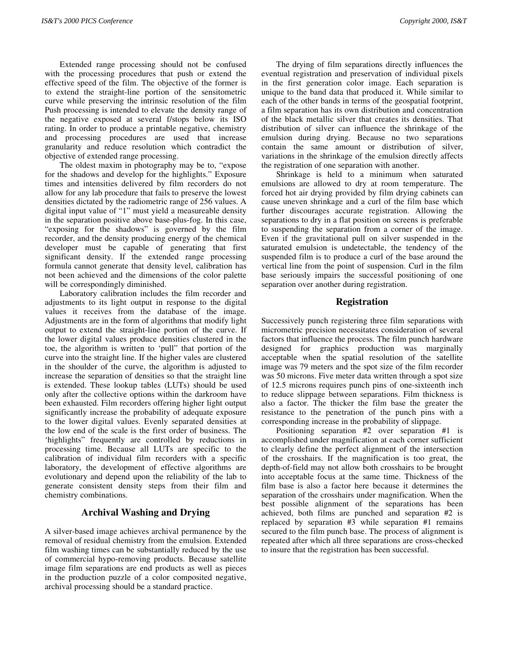Extended range processing should not be confused with the processing procedures that push or extend the effective speed of the film. The objective of the former is to extend the straight-line portion of the sensitometric curve while preserving the intrinsic resolution of the film Push processing is intended to elevate the density range of the negative exposed at several f/stops below its ISO rating. In order to produce a printable negative, chemistry and processing procedures are used that increase granularity and reduce resolution which contradict the objective of extended range processing.

The oldest maxim in photography may be to, "expose for the shadows and develop for the highlights." Exposure times and intensities delivered by film recorders do not allow for any lab procedure that fails to preserve the lowest densities dictated by the radiometric range of 256 values. A digital input value of "1" must yield a measureable density in the separation positive above base-plus-fog. In this case, "exposing for the shadows" is governed by the film recorder, and the density producing energy of the chemical developer must be capable of generating that first significant density. If the extended range processing formula cannot generate that density level, calibration has not been achieved and the dimensions of the color palette will be correspondingly diminished.

Laboratory calibration includes the film recorder and adjustments to its light output in response to the digital values it receives from the database of the image. Adjustments are in the form of algorithms that modify light output to extend the straight-line portion of the curve. If the lower digital values produce densities clustered in the toe, the algorithm is written to 'pull" that portion of the curve into the straight line. If the higher vales are clustered in the shoulder of the curve, the algorithm is adjusted to increase the separation of densities so that the straight line is extended. These lookup tables (LUTs) should be used only after the collective options within the darkroom have been exhausted. Film recorders offering higher light output significantly increase the probability of adequate exposure to the lower digital values. Evenly separated densities at the low end of the scale is the first order of business. The 'highlights" frequently are controlled by reductions in processing time. Because all LUTs are specific to the calibration of individual film recorders with a specific laboratory, the development of effective algorithms are evolutionary and depend upon the reliability of the lab to generate consistent density steps from their film and chemistry combinations.

## **Archival Washing and Drying**

A silver-based image achieves archival permanence by the removal of residual chemistry from the emulsion. Extended film washing times can be substantially reduced by the use of commercial hypo-removing products. Because satellite image film separations are end products as well as pieces in the production puzzle of a color composited negative, archival processing should be a standard practice.

The drying of film separations directly influences the eventual registration and preservation of individual pixels in the first generation color image. Each separation is unique to the band data that produced it. While similar to each of the other bands in terms of the geospatial footprint, a film separation has its own distribution and concentration of the black metallic silver that creates its densities. That distribution of silver can influence the shrinkage of the emulsion during drying. Because no two separations contain the same amount or distribution of silver, variations in the shrinkage of the emulsion directly affects the registration of one separation with another.

Shrinkage is held to a minimum when saturated emulsions are allowed to dry at room temperature. The forced hot air drying provided by film drying cabinets can cause uneven shrinkage and a curl of the film base which further discourages accurate registration. Allowing the separations to dry in a flat position on screens is preferable to suspending the separation from a corner of the image. Even if the gravitational pull on silver suspended in the saturated emulsion is undetectable, the tendency of the suspended film is to produce a curl of the base around the vertical line from the point of suspension. Curl in the film base seriously impairs the successful positioning of one separation over another during registration.

#### **Registration**

Successively punch registering three film separations with micrometric precision necessitates consideration of several factors that influence the process. The film punch hardware designed for graphics production was marginally acceptable when the spatial resolution of the satellite image was 79 meters and the spot size of the film recorder was 50 microns. Five meter data written through a spot size of 12.5 microns requires punch pins of one-sixteenth inch to reduce slippage between separations. Film thickness is also a factor. The thicker the film base the greater the resistance to the penetration of the punch pins with a corresponding increase in the probability of slippage.

Positioning separation #2 over separation #1 is accomplished under magnification at each corner sufficient to clearly define the perfect alignment of the intersection of the crosshairs. If the magnification is too great, the depth-of-field may not allow both crosshairs to be brought into acceptable focus at the same time. Thickness of the film base is also a factor here because it determines the separation of the crosshairs under magnification. When the best possible alignment of the separations has been achieved, both films are punched and separation #2 is replaced by separation #3 while separation #1 remains secured to the film punch base. The process of alignment is repeated after which all three separations are cross-checked to insure that the registration has been successful.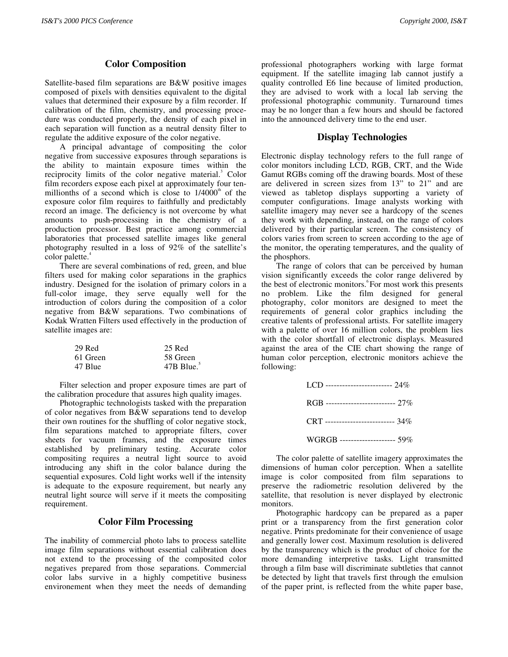# **Color Composition**

Satellite-based film separations are B&W positive images composed of pixels with densities equivalent to the digital values that determined their exposure by a film recorder. If calibration of the film, chemistry, and processing procedure was conducted properly, the density of each pixel in each separation will function as a neutral density filter to regulate the additive exposure of the color negative.

A principal advantage of compositing the color negative from successive exposures through separations is the ability to maintain exposure times within the reciprocity limits of the color negative material.<sup>3</sup> Color film recorders expose each pixel at approximately four tenmillionths of a second which is close to  $1/4000<sup>th</sup>$  of the exposure color film requires to faithfully and predictably record an image. The deficiency is not overcome by what amounts to push-processing in the chemistry of a production processor. Best practice among commercial laboratories that processed satellite images like general photography resulted in a loss of 92% of the satellite's color palette.<sup>4</sup>

There are several combinations of red, green, and blue filters used for making color separations in the graphics industry. Designed for the isolation of primary colors in a full-color image, they serve equally well for the introduction of colors during the composition of a color negative from B&W separations. Two combinations of Kodak Wratten Filters used effectively in the production of satellite images are:

| 29 Red   | 25 Red                   |
|----------|--------------------------|
| 61 Green | 58 Green                 |
| 47 Blue  | $47B$ Blue. <sup>5</sup> |

Filter selection and proper exposure times are part of the calibration procedure that assures high quality images.

Photographic technologists tasked with the preparation of color negatives from B&W separations tend to develop their own routines for the shuffling of color negative stock, film separations matched to appropriate filters, cover sheets for vacuum frames, and the exposure times established by preliminary testing. Accurate color compositing requires a neutral light source to avoid introducing any shift in the color balance during the sequential exposures. Cold light works well if the intensity is adequate to the exposure requirement, but nearly any neutral light source will serve if it meets the compositing requirement.

## **Color Film Processing**

The inability of commercial photo labs to process satellite image film separations without essential calibration does not extend to the processing of the composited color negatives prepared from those separations. Commercial color labs survive in a highly competitive business environement when they meet the needs of demanding

professional photographers working with large format equipment. If the satellite imaging lab cannot justify a quality controlled E6 line because of limited production, they are advised to work with a local lab serving the professional photographic community. Turnaround times may be no longer than a few hours and should be factored into the announced delivery time to the end user.

## **Display Technologies**

Electronic display technology refers to the full range of color monitors including LCD, RGB, CRT, and the Wide Gamut RGBs coming off the drawing boards. Most of these are delivered in screen sizes from 13" to 21" and are viewed as tabletop displays supporting a variety of computer configurations. Image analysts working with satellite imagery may never see a hardcopy of the scenes they work with depending, instead, on the range of colors delivered by their particular screen. The consistency of colors varies from screen to screen according to the age of the monitor, the operating temperatures, and the quality of the phosphors.

The range of colors that can be perceived by human vision significantly exceeds the color range delivered by the best of electronic monitors.<sup>8</sup> For most work this presents no problem. Like the film designed for general photography, color monitors are designed to meet the requirements of general color graphics including the creative talents of professional artists. For satellite imagery with a palette of over 16 million colors, the problem lies with the color shortfall of electronic displays. Measured against the area of the CIE chart showing the range of human color perception, electronic monitors achieve the following:

| LCD ------------------------ 24%   |  |
|------------------------------------|--|
| RGB -------------------------- 27% |  |
| CRT -------------------------- 34% |  |
| WGRGB --------------------- 59%    |  |

The color palette of satellite imagery approximates the dimensions of human color perception. When a satellite image is color composited from film separations to preserve the radiometric resolution delivered by the satellite, that resolution is never displayed by electronic monitors.

Photographic hardcopy can be prepared as a paper print or a transparency from the first generation color negative. Prints predominate for their convenience of usage and generally lower cost. Maximum resolution is delivered by the transparency which is the product of choice for the more demanding interpretive tasks. Light transmitted through a film base will discriminate subtleties that cannot be detected by light that travels first through the emulsion of the paper print, is reflected from the white paper base,